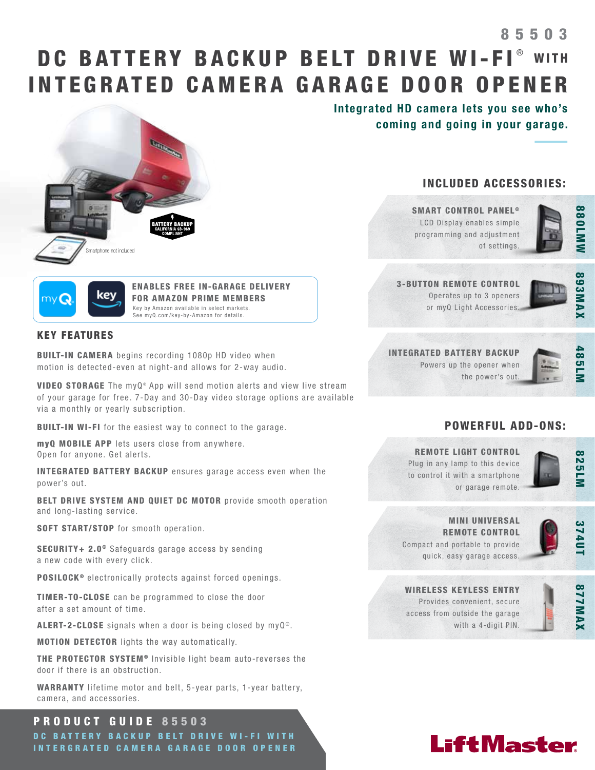# DC BATTERY BACKUP BELT DRIVE WI-FI® WITH INTEGRATED CAMERA GARAGE DOOR OPENER 85503



kev

ENABLES FREE IN-GARAGE DELIVERY FOR AMAZON PRIME MEMBERS Key by Amazon available in select markets. See myQ.com/key-by-Amazon for details.

## KEY FEATURES

BUILT-IN CAMERA begins recording 1080p HD video when motion is detected-even at night-and allows for 2-way audio.

VIDEO STORAGE The myQ® App will send motion alerts and view live stream of your garage for free. 7-Day and 30-Day video storage options are available via a monthly or yearly subscription.

BUILT-IN WI-FI for the easiest way to connect to the garage.

myQ MOBILE APP lets users close from anywhere. Open for anyone. Get alerts.

INTEGRATED BATTERY BACKUP ensures garage access even when the power's out.

BELT DRIVE SYSTEM AND QUIET DC MOTOR provide smooth operation and long-lasting service.

SOFT START/STOP for smooth operation.

SECURITY+ 2.0<sup>®</sup> Safeguards garage access by sending a new code with every click.

POSILOCK<sup>®</sup> electronically protects against forced openings.

TIMER-TO-CLOSE can be programmed to close the door after a set amount of time.

ALERT-2-CLOSE signals when a door is being closed by  $myQ^{\circledcirc}$ .

MOTION DETECTOR lights the way automatically.

THE PROTECTOR SYSTEM<sup>®</sup> Invisible light beam auto-reverses the door if there is an obstruction.

WARRANTY lifetime motor and belt, 5-year parts, 1-year battery, camera, and accessories.

## PRODUCT GUIDE 85503

DC BATTERY BACKUP BELT DRIVE WI-FI WITH INTERGRATED CAMERA GARAGE DOOR OPENER Integrated HD camera lets you see who's coming and going in your garage.

## INCLUDED ACCESSORIES:

SMART CONTROL PANEL<sup>®</sup> LCD Display enables simple programming and adjustment of settings.



3-BUTTON REMOTE CONTROL Operates up to 3 openers or myQ Light Accessories.



INTEGRATED BATTERY BACKUP Powers up the opener when the power's out.



## POWERFUL ADD-ONS:

REMOTE LIGHT CONTROL Plug in any lamp to this device to control it with a smartphone or garage remote.



MINI UNIVERSAL REMOTE CONTROL Compact and portable to provide quick, easy garage access.



WIRELESS KEYLESS ENTRY Provides convenient, secure access from outside the garage with a 4-digit PIN.



# **LiftMaster**